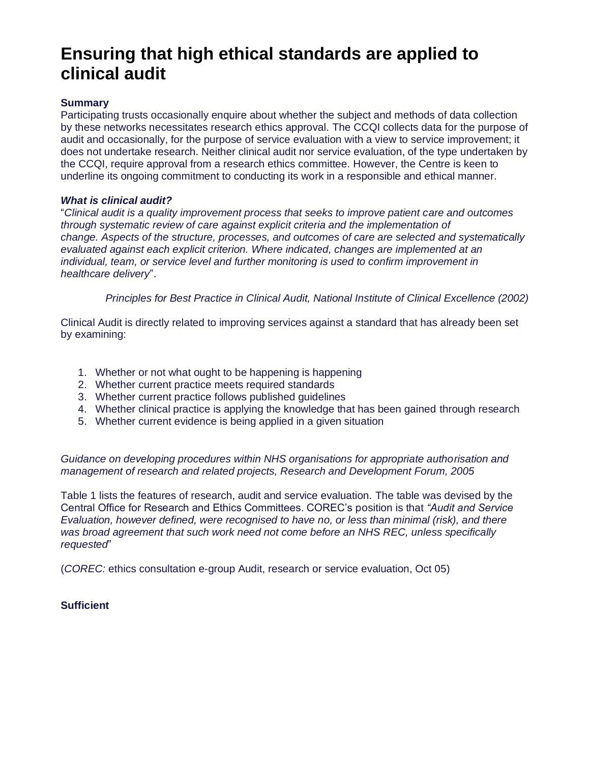# **Ensuring that high ethical standards are applied to clinical audit**

# **Summary**

Participating trusts occasionally enquire about whether the subject and methods of data collection by these networks necessitates research ethics approval. The CCQI collects data for the purpose of audit and occasionally, for the purpose of service evaluation with a view to service improvement; it does not undertake research. Neither clinical audit nor service evaluation, of the type undertaken by the CCQI, require approval from a research ethics committee. However, the Centre is keen to underline its ongoing commitment to conducting its work in a responsible and ethical manner.

## *What is clinical audit?*

"*Clinical audit is a quality improvement process that seeks to improve patient care and outcomes through systematic review of care against explicit criteria and the implementation of change. Aspects of the structure, processes, and outcomes of care are selected and systematically evaluated against each explicit criterion. Where indicated, changes are implemented at an individual, team, or service level and further monitoring is used to confirm improvement in healthcare delivery*".

*Principles for Best Practice in Clinical Audit, National Institute of Clinical Excellence (2002)*

Clinical Audit is directly related to improving services against a standard that has already been set by examining:

- 1. Whether or not what ought to be happening is happening
- 2. Whether current practice meets required standards
- 3. Whether current practice follows published guidelines
- 4. Whether clinical practice is applying the knowledge that has been gained through research
- 5. Whether current evidence is being applied in a given situation

*Guidance on developing procedures within NHS organisations for appropriate authorisation and management of research and related projects, Research and Development Forum, 2005*

Table 1 lists the features of research, audit and service evaluation. The table was devised by the Central Office for Research and Ethics Committees. COREC's position is that *"Audit and Service Evaluation, however defined, were recognised to have no, or less than minimal (risk), and there was broad agreement that such work need not come before an NHS REC, unless specifically requested*"

(*COREC:* ethics consultation e-group Audit, research or service evaluation, Oct 05)

# **Sufficient**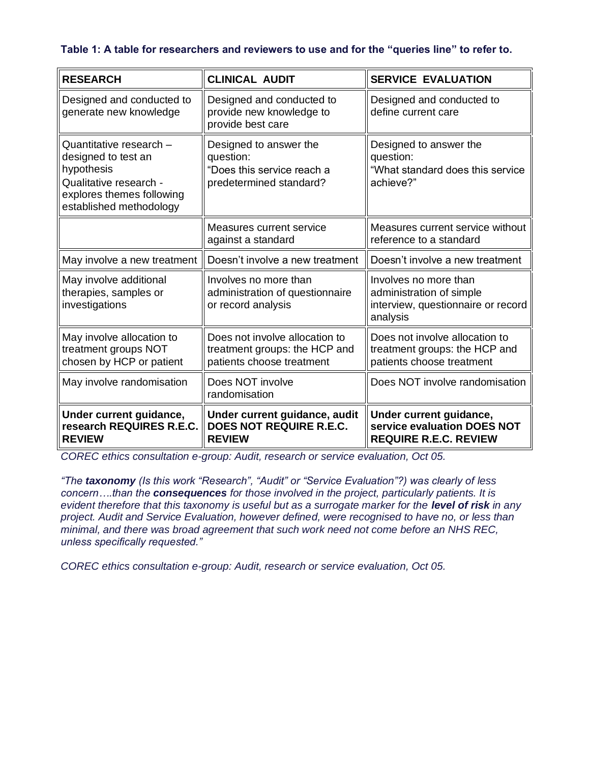# **Table 1: A table for researchers and reviewers to use and for the "queries line" to refer to.**

| <b>RESEARCH</b>                                                                                                                                | <b>CLINICAL AUDIT</b>                                                                        | <b>SERVICE EVALUATION</b>                                                                           |
|------------------------------------------------------------------------------------------------------------------------------------------------|----------------------------------------------------------------------------------------------|-----------------------------------------------------------------------------------------------------|
| Designed and conducted to<br>generate new knowledge                                                                                            | Designed and conducted to<br>provide new knowledge to<br>provide best care                   | Designed and conducted to<br>define current care                                                    |
| Quantitative research -<br>designed to test an<br>hypothesis<br>Qualitative research -<br>explores themes following<br>established methodology | Designed to answer the<br>question:<br>"Does this service reach a<br>predetermined standard? | Designed to answer the<br>question:<br>"What standard does this service<br>achieve?"                |
|                                                                                                                                                | Measures current service<br>against a standard                                               | Measures current service without<br>reference to a standard                                         |
| May involve a new treatment                                                                                                                    | Doesn't involve a new treatment                                                              | Doesn't involve a new treatment                                                                     |
| May involve additional<br>therapies, samples or<br>investigations                                                                              | Involves no more than<br>administration of questionnaire<br>or record analysis               | Involves no more than<br>administration of simple<br>interview, questionnaire or record<br>analysis |
| May involve allocation to<br>treatment groups NOT<br>chosen by HCP or patient                                                                  | Does not involve allocation to<br>treatment groups: the HCP and<br>patients choose treatment | Does not involve allocation to<br>treatment groups: the HCP and<br>patients choose treatment        |
| May involve randomisation                                                                                                                      | Does NOT involve<br>randomisation                                                            | Does NOT involve randomisation                                                                      |
| Under current guidance,<br>research REQUIRES R.E.C.<br><b>REVIEW</b>                                                                           | Under current guidance, audit<br>DOES NOT REQUIRE R.E.C.<br><b>REVIEW</b>                    | Under current guidance,<br>service evaluation DOES NOT<br><b>REQUIRE R.E.C. REVIEW</b>              |

*COREC ethics consultation e-group: Audit, research or service evaluation, Oct 05.*

*"The taxonomy (Is this work "Research", "Audit" or "Service Evaluation"?) was clearly of less concern….than the consequences for those involved in the project, particularly patients. It is evident therefore that this taxonomy is useful but as a surrogate marker for the level of risk in any project. Audit and Service Evaluation, however defined, were recognised to have no, or less than minimal, and there was broad agreement that such work need not come before an NHS REC, unless specifically requested."*

*COREC ethics consultation e-group: Audit, research or service evaluation, Oct 05.*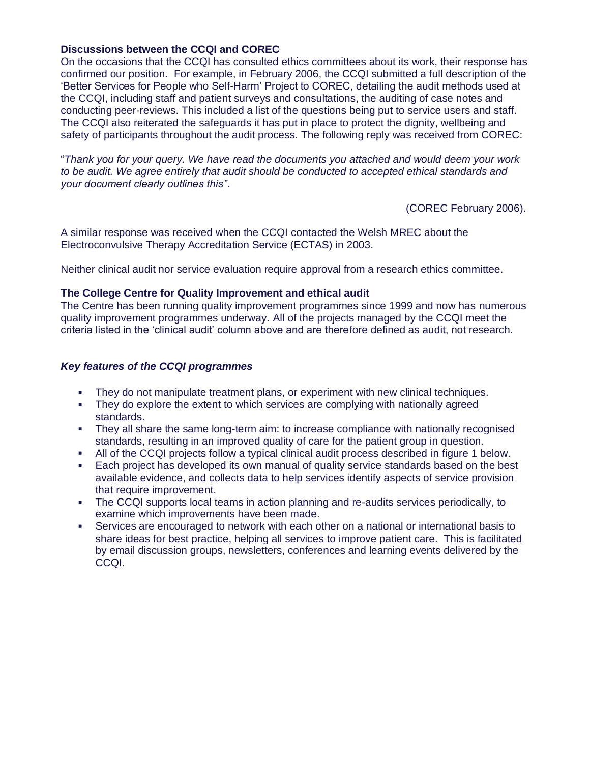# **Discussions between the CCQI and COREC**

On the occasions that the CCQI has consulted ethics committees about its work, their response has confirmed our position. For example, in February 2006, the CCQI submitted a full description of the 'Better Services for People who Self-Harm' Project to COREC, detailing the audit methods used at the CCQI, including staff and patient surveys and consultations, the auditing of case notes and conducting peer-reviews. This included a list of the questions being put to service users and staff. The CCQI also reiterated the safeguards it has put in place to protect the dignity, wellbeing and safety of participants throughout the audit process. The following reply was received from COREC:

"*Thank you for your query. We have read the documents you attached and would deem your work to be audit. We agree entirely that audit should be conducted to accepted ethical standards and your document clearly outlines this"*.

(COREC February 2006).

A similar response was received when the CCQI contacted the Welsh MREC about the Electroconvulsive Therapy Accreditation Service (ECTAS) in 2003.

Neither clinical audit nor service evaluation require approval from a research ethics committee.

## **The College Centre for Quality Improvement and ethical audit**

The Centre has been running quality improvement programmes since 1999 and now has numerous quality improvement programmes underway. All of the projects managed by the CCQI meet the criteria listed in the 'clinical audit' column above and are therefore defined as audit, not research.

## *Key features of the CCQI programmes*

- They do not manipulate treatment plans, or experiment with new clinical techniques.
- They do explore the extent to which services are complying with nationally agreed standards.
- They all share the same long-term aim: to increase compliance with nationally recognised standards, resulting in an improved quality of care for the patient group in question.
- All of the CCQI projects follow a typical clinical audit process described in figure 1 below.
- Each project has developed its own manual of quality service standards based on the best available evidence, and collects data to help services identify aspects of service provision that require improvement.
- a. The CCQI supports local teams in action planning and re-audits services periodically, to examine which improvements have been made.
- Services are encouraged to network with each other on a national or international basis to share ideas for best practice, helping all services to improve patient care. This is facilitated by email discussion groups, newsletters, conferences and learning events delivered by the CCQI.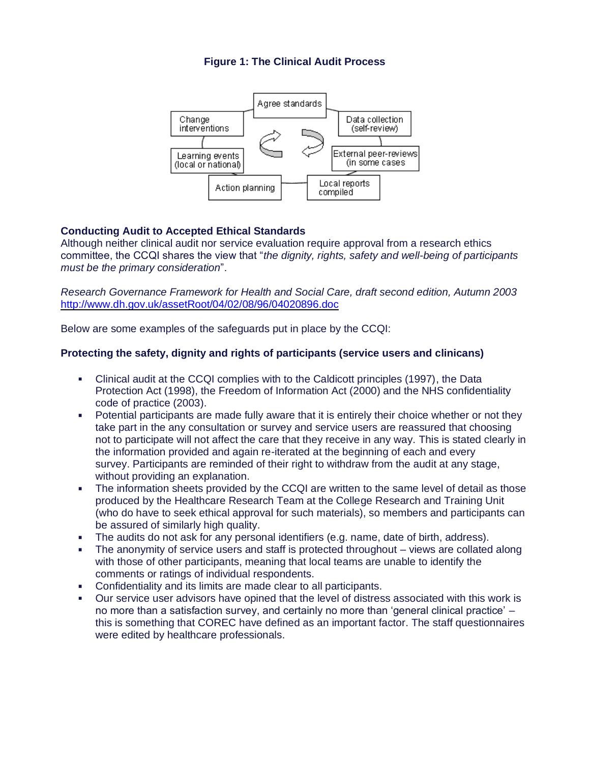# **Figure 1: The Clinical Audit Process**



# **Conducting Audit to Accepted Ethical Standards**

Although neither clinical audit nor service evaluation require approval from a research ethics committee, the CCQI shares the view that "*the dignity, rights, safety and well-being of participants must be the primary consideration*".

*Research Governance Framework for Health and Social Care, draft second edition, Autumn 2003* <http://www.dh.gov.uk/assetRoot/04/02/08/96/04020896.doc>

Below are some examples of the safeguards put in place by the CCQI:

## **Protecting the safety, dignity and rights of participants (service users and clinicans)**

- a. Clinical audit at the CCQI complies with to the Caldicott principles (1997), the Data Protection Act (1998), the Freedom of Information Act (2000) and the NHS confidentiality code of practice (2003).
- Potential participants are made fully aware that it is entirely their choice whether or not they a. take part in the any consultation or survey and service users are reassured that choosing not to participate will not affect the care that they receive in any way. This is stated clearly in the information provided and again re-iterated at the beginning of each and every survey. Participants are reminded of their right to withdraw from the audit at any stage, without providing an explanation.
- The information sheets provided by the CCQI are written to the same level of detail as those ä, produced by the Healthcare Research Team at the College Research and Training Unit (who do have to seek ethical approval for such materials), so members and participants can be assured of similarly high quality.
- ú, The audits do not ask for any personal identifiers (e.g. name, date of birth, address).
- The anonymity of service users and staff is protected throughout views are collated along with those of other participants, meaning that local teams are unable to identify the comments or ratings of individual respondents.
- Confidentiality and its limits are made clear to all participants.  $\blacksquare$
- Our service user advisors have opined that the level of distress associated with this work is no more than a satisfaction survey, and certainly no more than 'general clinical practice' – this is something that COREC have defined as an important factor. The staff questionnaires were edited by healthcare professionals.